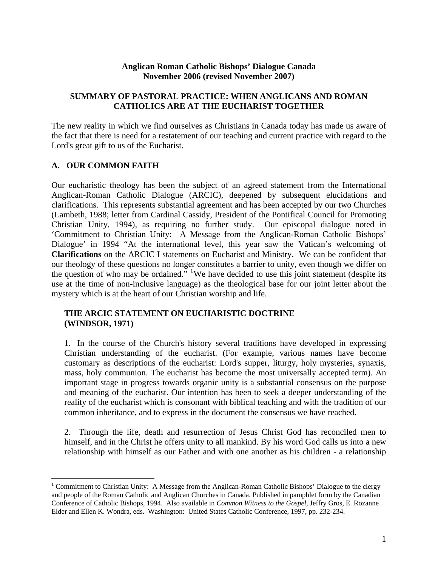### **Anglican Roman Catholic Bishops' Dialogue Canada November 2006 (revised November 2007)**

## **SUMMARY OF PASTORAL PRACTICE: WHEN ANGLICANS AND ROMAN CATHOLICS ARE AT THE EUCHARIST TOGETHER**

The new reality in which we find ourselves as Christians in Canada today has made us aware of the fact that there is need for a restatement of our teaching and current practice with regard to the Lord's great gift to us of the Eucharist.

## **A. OUR COMMON FAITH**

 $\overline{a}$ 

Our eucharistic theology has been the subject of an agreed statement from the International Anglican-Roman Catholic Dialogue (ARCIC), deepened by subsequent elucidations and clarifications. This represents substantial agreement and has been accepted by our two Churches (Lambeth, 1988; letter from Cardinal Cassidy, President of the Pontifical Council for Promoting Christian Unity, 1994), as requiring no further study. Our episcopal dialogue noted in 'Commitment to Christian Unity: A Message from the Anglican-Roman Catholic Bishops' Dialogue' in 1994 "At the international level, this year saw the Vatican's welcoming of **Clarifications** on the ARCIC I statements on Eucharist and Ministry. We can be confident that our theology of these questions no longer constitutes a barrier to unity, even though we differ on the question of who may be ordained." <sup>[1](#page-0-0)</sup>We have decided to use this joint statement (despite its use at the time of non-inclusive language) as the theological base for our joint letter about the mystery which is at the heart of our Christian worship and life.

## **THE ARCIC STATEMENT ON EUCHARISTIC DOCTRINE (WINDSOR, 1971)**

1. In the course of the Church's history several traditions have developed in expressing Christian understanding of the eucharist. (For example, various names have become customary as descriptions of the eucharist: Lord's supper, liturgy, holy mysteries, synaxis, mass, holy communion. The eucharist has become the most universally accepted term). An important stage in progress towards organic unity is a substantial consensus on the purpose and meaning of the eucharist. Our intention has been to seek a deeper understanding of the reality of the eucharist which is consonant with biblical teaching and with the tradition of our common inheritance, and to express in the document the consensus we have reached.

2. Through the life, death and resurrection of Jesus Christ God has reconciled men to himself, and in the Christ he offers unity to all mankind. By his word God calls us into a new relationship with himself as our Father and with one another as his children - a relationship

<span id="page-0-0"></span><sup>&</sup>lt;sup>1</sup> Commitment to Christian Unity: A Message from the Anglican-Roman Catholic Bishops' Dialogue to the clergy and people of the Roman Catholic and Anglican Churches in Canada. Published in pamphlet form by the Canadian Conference of Catholic Bishops, 1994. Also available in *Common Witness to the Gospel*, Jeffry Gros, E. Rozanne Elder and Ellen K. Wondra, eds. Washington: United States Catholic Conference, 1997, pp. 232-234.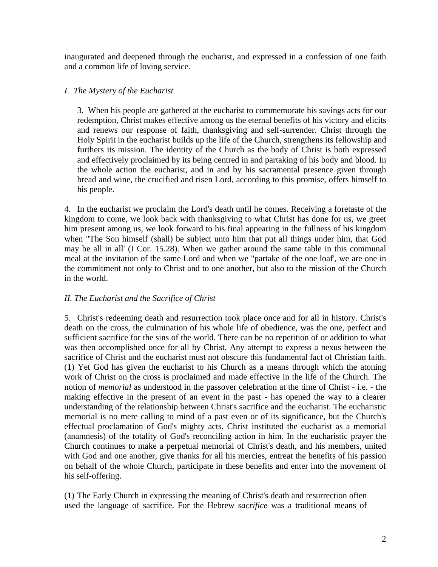inaugurated and deepened through the eucharist, and expressed in a confession of one faith and a common life of loving service.

## *I. The Mystery of the Eucharist*

3. When his people are gathered at the eucharist to commemorate his savings acts for our redemption, Christ makes effective among us the eternal benefits of his victory and elicits and renews our response of faith, thanksgiving and self-surrender. Christ through the Holy Spirit in the eucharist builds up the life of the Church, strengthens its fellowship and furthers its mission. The identity of the Church as the body of Christ is both expressed and effectively proclaimed by its being centred in and partaking of his body and blood. In the whole action the eucharist, and in and by his sacramental presence given through bread and wine, the crucified and risen Lord, according to this promise, offers himself to his people.

4. In the eucharist we proclaim the Lord's death until he comes. Receiving a foretaste of the kingdom to come, we look back with thanksgiving to what Christ has done for us, we greet him present among us, we look forward to his final appearing in the fullness of his kingdom when "The Son himself (shall) be subject unto him that put all things under him, that God may be all in all' (I Cor. 15.28). When we gather around the same table in this communal meal at the invitation of the same Lord and when we "partake of the one loaf', we are one in the commitment not only to Christ and to one another, but also to the mission of the Church in the world.

## *II. The Eucharist and the Sacrifice of Christ*

5. Christ's redeeming death and resurrection took place once and for all in history. Christ's death on the cross, the culmination of his whole life of obedience, was the one, perfect and sufficient sacrifice for the sins of the world. There can be no repetition of or addition to what was then accomplished once for all by Christ. Any attempt to express a nexus between the sacrifice of Christ and the eucharist must not obscure this fundamental fact of Christian faith. (1) Yet God has given the eucharist to his Church as a means through which the atoning work of Christ on the cross is proclaimed and made effective in the life of the Church. The notion of *memorial* as understood in the passover celebration at the time of Christ - i.e. - the making effective in the present of an event in the past - has opened the way to a clearer understanding of the relationship between Christ's sacrifice and the eucharist. The eucharistic memorial is no mere calling to mind of a past even or of its significance, but the Church's effectual proclamation of God's mighty acts. Christ instituted the eucharist as a memorial (anamnesis) of the totality of God's reconciling action in him. In the eucharistic prayer the Church continues to make a perpetual memorial of Christ's death, and his members, united with God and one another, give thanks for all his mercies, entreat the benefits of his passion on behalf of the whole Church, participate in these benefits and enter into the movement of his self-offering.

(1) The Early Church in expressing the meaning of Christ's death and resurrection often used the language of sacrifice. For the Hebrew *sacrifice* was a traditional means of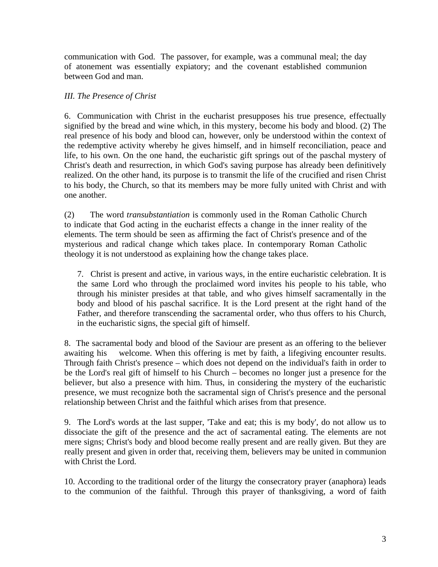communication with God. The passover, for example, was a communal meal; the day of atonement was essentially expiatory; and the covenant established communion between God and man.

### *III. The Presence of Christ*

6. Communication with Christ in the eucharist presupposes his true presence, effectually signified by the bread and wine which, in this mystery, become his body and blood. (2) The real presence of his body and blood can, however, only be understood within the context of the redemptive activity whereby he gives himself, and in himself reconciliation, peace and life, to his own. On the one hand, the eucharistic gift springs out of the paschal mystery of Christ's death and resurrection, in which God's saving purpose has already been definitively realized. On the other hand, its purpose is to transmit the life of the crucified and risen Christ to his body, the Church, so that its members may be more fully united with Christ and with one another.

(2) The word *transubstantiation* is commonly used in the Roman Catholic Church to indicate that God acting in the eucharist effects a change in the inner reality of the elements. The term should be seen as affirming the fact of Christ's presence and of the mysterious and radical change which takes place. In contemporary Roman Catholic theology it is not understood as explaining how the change takes place.

7. Christ is present and active, in various ways, in the entire eucharistic celebration. It is the same Lord who through the proclaimed word invites his people to his table, who through his minister presides at that table, and who gives himself sacramentally in the body and blood of his paschal sacrifice. It is the Lord present at the right hand of the Father, and therefore transcending the sacramental order, who thus offers to his Church, in the eucharistic signs, the special gift of himself.

8. The sacramental body and blood of the Saviour are present as an offering to the believer awaiting his welcome. When this offering is met by faith, a lifegiving encounter results. Through faith Christ's presence – which does not depend on the individual's faith in order to be the Lord's real gift of himself to his Church – becomes no longer just a presence for the believer, but also a presence with him. Thus, in considering the mystery of the eucharistic presence, we must recognize both the sacramental sign of Christ's presence and the personal relationship between Christ and the faithful which arises from that presence.

9. The Lord's words at the last supper, 'Take and eat; this is my body', do not allow us to dissociate the gift of the presence and the act of sacramental eating. The elements are not mere signs; Christ's body and blood become really present and are really given. But they are really present and given in order that, receiving them, believers may be united in communion with Christ the Lord.

10. According to the traditional order of the liturgy the consecratory prayer (anaphora) leads to the communion of the faithful. Through this prayer of thanksgiving, a word of faith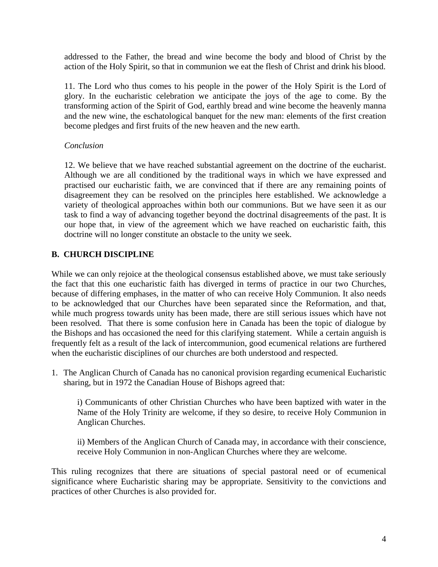addressed to the Father, the bread and wine become the body and blood of Christ by the action of the Holy Spirit, so that in communion we eat the flesh of Christ and drink his blood.

11. The Lord who thus comes to his people in the power of the Holy Spirit is the Lord of glory. In the eucharistic celebration we anticipate the joys of the age to come. By the transforming action of the Spirit of God, earthly bread and wine become the heavenly manna and the new wine, the eschatological banquet for the new man: elements of the first creation become pledges and first fruits of the new heaven and the new earth.

## *Conclusion*

12. We believe that we have reached substantial agreement on the doctrine of the eucharist. Although we are all conditioned by the traditional ways in which we have expressed and practised our eucharistic faith, we are convinced that if there are any remaining points of disagreement they can be resolved on the principles here established. We acknowledge a variety of theological approaches within both our communions. But we have seen it as our task to find a way of advancing together beyond the doctrinal disagreements of the past. It is our hope that, in view of the agreement which we have reached on eucharistic faith, this doctrine will no longer constitute an obstacle to the unity we seek.

## **B. CHURCH DISCIPLINE**

While we can only rejoice at the theological consensus established above, we must take seriously the fact that this one eucharistic faith has diverged in terms of practice in our two Churches, because of differing emphases, in the matter of who can receive Holy Communion. It also needs to be acknowledged that our Churches have been separated since the Reformation, and that, while much progress towards unity has been made, there are still serious issues which have not been resolved. That there is some confusion here in Canada has been the topic of dialogue by the Bishops and has occasioned the need for this clarifying statement. While a certain anguish is frequently felt as a result of the lack of intercommunion, good ecumenical relations are furthered when the eucharistic disciplines of our churches are both understood and respected.

1. The Anglican Church of Canada has no canonical provision regarding ecumenical Eucharistic sharing, but in 1972 the Canadian House of Bishops agreed that:

i) Communicants of other Christian Churches who have been baptized with water in the Name of the Holy Trinity are welcome, if they so desire, to receive Holy Communion in Anglican Churches.

ii) Members of the Anglican Church of Canada may, in accordance with their conscience, receive Holy Communion in non-Anglican Churches where they are welcome.

This ruling recognizes that there are situations of special pastoral need or of ecumenical significance where Eucharistic sharing may be appropriate. Sensitivity to the convictions and practices of other Churches is also provided for.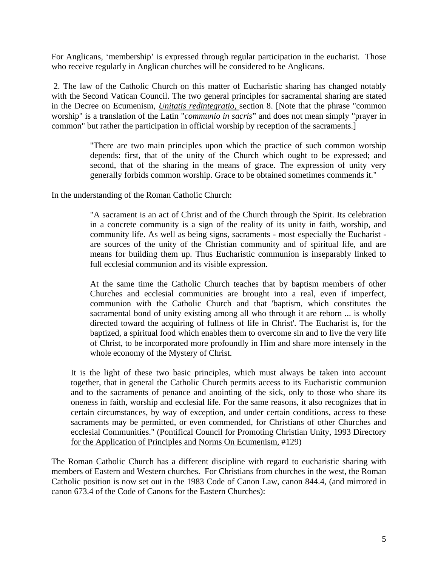For Anglicans, 'membership' is expressed through regular participation in the eucharist. Those who receive regularly in Anglican churches will be considered to be Anglicans.

2. The law of the Catholic Church on this matter of Eucharistic sharing has changed notably with the Second Vatican Council. The two general principles for sacramental sharing are stated in the Decree on Ecumenism, *Unitatis redintegratio*, section 8. [Note that the phrase "common worship" is a translation of the Latin "*communio in sacris*" and does not mean simply "prayer in common" but rather the participation in official worship by reception of the sacraments.]

> "There are two main principles upon which the practice of such common worship depends: first, that of the unity of the Church which ought to be expressed; and second, that of the sharing in the means of grace. The expression of unity very generally forbids common worship. Grace to be obtained sometimes commends it."

In the understanding of the Roman Catholic Church:

"A sacrament is an act of Christ and of the Church through the Spirit. Its celebration in a concrete community is a sign of the reality of its unity in faith, worship, and community life. As well as being signs, sacraments - most especially the Eucharist are sources of the unity of the Christian community and of spiritual life, and are means for building them up. Thus Eucharistic communion is inseparably linked to full ecclesial communion and its visible expression.

At the same time the Catholic Church teaches that by baptism members of other Churches and ecclesial communities are brought into a real, even if imperfect, communion with the Catholic Church and that 'baptism, which constitutes the sacramental bond of unity existing among all who through it are reborn ... is wholly directed toward the acquiring of fullness of life in Christ'. The Eucharist is, for the baptized, a spiritual food which enables them to overcome sin and to live the very life of Christ, to be incorporated more profoundly in Him and share more intensely in the whole economy of the Mystery of Christ.

It is the light of these two basic principles, which must always be taken into account together, that in general the Catholic Church permits access to its Eucharistic communion and to the sacraments of penance and anointing of the sick, only to those who share its oneness in faith, worship and ecclesial life. For the same reasons, it also recognizes that in certain circumstances, by way of exception, and under certain conditions, access to these sacraments may be permitted, or even commended, for Christians of other Churches and ecclesial Communities." (Pontifical Council for Promoting Christian Unity, 1993 Directory for the Application of Principles and Norms On Ecumenism, #129)

The Roman Catholic Church has a different discipline with regard to eucharistic sharing with members of Eastern and Western churches. For Christians from churches in the west, the Roman Catholic position is now set out in the 1983 Code of Canon Law, canon 844.4, (and mirrored in canon 673.4 of the Code of Canons for the Eastern Churches):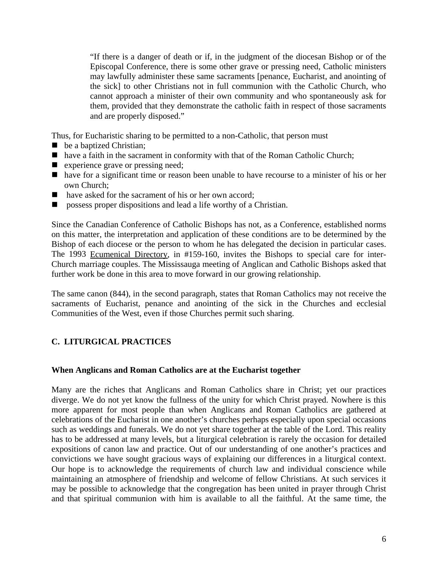"If there is a danger of death or if, in the judgment of the diocesan Bishop or of the Episcopal Conference, there is some other grave or pressing need, Catholic ministers may lawfully administer these same sacraments [penance, Eucharist, and anointing of the sick] to other Christians not in full communion with the Catholic Church, who cannot approach a minister of their own community and who spontaneously ask for them, provided that they demonstrate the catholic faith in respect of those sacraments and are properly disposed."

Thus, for Eucharistic sharing to be permitted to a non-Catholic, that person must

- be a baptized Christian;
- have a faith in the sacrament in conformity with that of the Roman Catholic Church;
- **E** experience grave or pressing need;
- have for a significant time or reason been unable to have recourse to a minister of his or her own Church;
- have asked for the sacrament of his or her own accord;
- $\blacksquare$  possess proper dispositions and lead a life worthy of a Christian.

Since the Canadian Conference of Catholic Bishops has not, as a Conference, established norms on this matter, the interpretation and application of these conditions are to be determined by the Bishop of each diocese or the person to whom he has delegated the decision in particular cases. The 1993 Ecumenical Directory, in #159-160, invites the Bishops to special care for inter-Church marriage couples. The Mississauga meeting of Anglican and Catholic Bishops asked that further work be done in this area to move forward in our growing relationship.

The same canon (844), in the second paragraph, states that Roman Catholics may not receive the sacraments of Eucharist, penance and anointing of the sick in the Churches and ecclesial Communities of the West, even if those Churches permit such sharing.

# **C. LITURGICAL PRACTICES**

### **When Anglicans and Roman Catholics are at the Eucharist together**

Many are the riches that Anglicans and Roman Catholics share in Christ; yet our practices diverge. We do not yet know the fullness of the unity for which Christ prayed. Nowhere is this more apparent for most people than when Anglicans and Roman Catholics are gathered at celebrations of the Eucharist in one another's churches perhaps especially upon special occasions such as weddings and funerals. We do not yet share together at the table of the Lord. This reality has to be addressed at many levels, but a liturgical celebration is rarely the occasion for detailed expositions of canon law and practice. Out of our understanding of one another's practices and convictions we have sought gracious ways of explaining our differences in a liturgical context. Our hope is to acknowledge the requirements of church law and individual conscience while maintaining an atmosphere of friendship and welcome of fellow Christians. At such services it may be possible to acknowledge that the congregation has been united in prayer through Christ and that spiritual communion with him is available to all the faithful. At the same time, the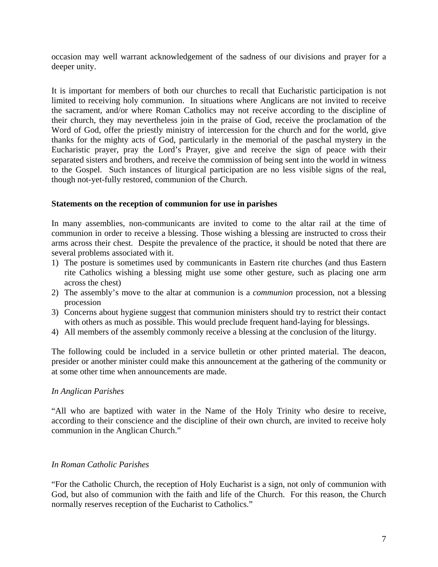occasion may well warrant acknowledgement of the sadness of our divisions and prayer for a deeper unity.

It is important for members of both our churches to recall that Eucharistic participation is not limited to receiving holy communion. In situations where Anglicans are not invited to receive the sacrament, and/or where Roman Catholics may not receive according to the discipline of their church, they may nevertheless join in the praise of God, receive the proclamation of the Word of God, offer the priestly ministry of intercession for the church and for the world, give thanks for the mighty acts of God, particularly in the memorial of the paschal mystery in the Eucharistic prayer, pray the Lord's Prayer, give and receive the sign of peace with their separated sisters and brothers, and receive the commission of being sent into the world in witness to the Gospel. Such instances of liturgical participation are no less visible signs of the real, though not-yet-fully restored, communion of the Church.

### **Statements on the reception of communion for use in parishes**

In many assemblies, non-communicants are invited to come to the altar rail at the time of communion in order to receive a blessing. Those wishing a blessing are instructed to cross their arms across their chest. Despite the prevalence of the practice, it should be noted that there are several problems associated with it.

- 1) The posture is sometimes used by communicants in Eastern rite churches (and thus Eastern rite Catholics wishing a blessing might use some other gesture, such as placing one arm across the chest)
- 2) The assembly's move to the altar at communion is a *communion* procession, not a blessing procession
- 3) Concerns about hygiene suggest that communion ministers should try to restrict their contact with others as much as possible. This would preclude frequent hand-laying for blessings.
- 4) All members of the assembly commonly receive a blessing at the conclusion of the liturgy.

The following could be included in a service bulletin or other printed material. The deacon, presider or another minister could make this announcement at the gathering of the community or at some other time when announcements are made.

### *In Anglican Parishes*

"All who are baptized with water in the Name of the Holy Trinity who desire to receive, according to their conscience and the discipline of their own church, are invited to receive holy communion in the Anglican Church."

### *In Roman Catholic Parishes*

"For the Catholic Church, the reception of Holy Eucharist is a sign, not only of communion with God, but also of communion with the faith and life of the Church. For this reason, the Church normally reserves reception of the Eucharist to Catholics."